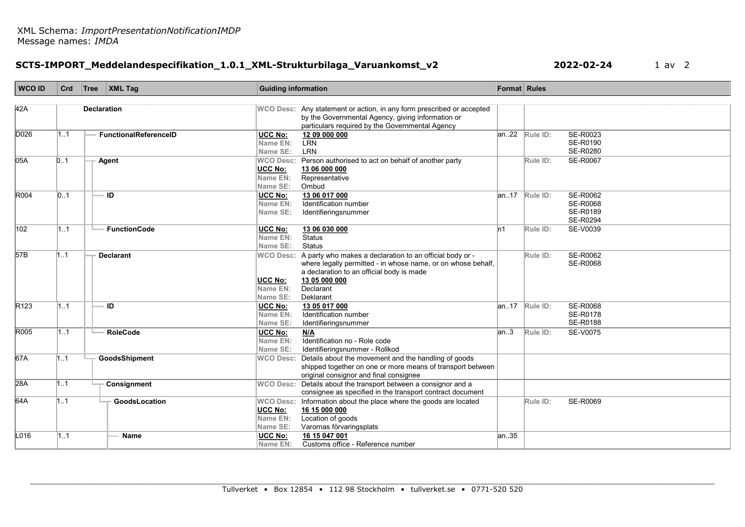## SCTS-IMPORT\_Meddelandespecifikation\_1.0.1\_XML-Strukturbilaga\_Varuankomst\_v2 2022-02-24 1 av 2

| <b>WCO ID</b>    | Crd | Tree               | $\vert$ XML Tag              | <b>Guiding information</b>             |                                                                                                                                                                                                                            | Format Rules |                                                  |                                                     |
|------------------|-----|--------------------|------------------------------|----------------------------------------|----------------------------------------------------------------------------------------------------------------------------------------------------------------------------------------------------------------------------|--------------|--------------------------------------------------|-----------------------------------------------------|
| 42A              |     | <b>Declaration</b> |                              |                                        | WCO Desc: Any statement or action, in any form prescribed or accepted<br>by the Governmental Agency, giving information or<br>particulars required by the Governmental Agency                                              |              |                                                  |                                                     |
| D026             | 11  |                    | <b>FunctionalReferenceID</b> | <b>UCC No:</b><br>Name EN:<br>Name SE: | 12 09 000 000<br><b>LRN</b><br>LRN                                                                                                                                                                                         | an22         | Rule ID:                                         | SE-R0023<br>SE-R0190<br>SE-R0280                    |
| 05A              | 0.1 |                    | Agent                        | UCC No:<br>Name EN:<br>Name SE:        | WCO Desc: Person authorised to act on behalf of another party<br>13 06 000 000<br>Representative<br>Ombud                                                                                                                  |              | Rule ID:                                         | <b>SE-R0067</b>                                     |
| R004             | 01  |                    | ID                           | <b>UCC No:</b><br>Name EN:<br>Name SE: | 13 06 017 000<br>Identification number<br>Identifieringsnummer                                                                                                                                                             |              | $ an.17 $ Rule ID:                               | SE-R0062<br><b>SE-R0068</b><br>SE-R0189<br>SE-R0294 |
| 102              | 1.1 |                    | <b>FunctionCode</b>          | UCC No:<br>Name EN:<br>Name SE:        | 13 06 030 000<br><b>Status</b><br>Status                                                                                                                                                                                   | ln1          | Rule ID:                                         | SE-V0039                                            |
| 57B              | 1.1 |                    | <b>Declarant</b>             | UCC No:<br>Name EN:<br>Name SE:        | WCO Desc: A party who makes a declaration to an official body or -<br>where legally permitted - in whose name, or on whose behalf,<br>a declaration to an official body is made<br>13 05 000 000<br>Declarant<br>Deklarant |              | Rule ID:                                         | SE-R0062<br>SE-R0068                                |
| R <sub>123</sub> | 11  |                    | ID                           | <b>UCC No:</b><br>Name EN:<br>Name SE: | 13 05 017 000<br>Identification number<br>Identifieringsnummer                                                                                                                                                             |              | $\overline{\mathsf{an}}$ .17 $\mathsf{Rule}$ ID: | SE-R0068<br>SE-R0178<br>SE-R0188                    |
| R005             | 11  |                    | <b>RoleCode</b>              | UCC No:<br>Name EN:<br>Name SE:        | N/A<br>Identification no - Role code<br>Identifieringsnummer - Rollkod                                                                                                                                                     | an.3         | Rule ID:                                         | <b>SE-V0075</b>                                     |
| 67A              | 1.1 |                    | GoodsShipment                | <b>WCO Desc:</b>                       | Details about the movement and the handling of goods<br>shipped together on one or more means of transport between<br>original consignor and final consignee                                                               |              |                                                  |                                                     |
| 28A              | 1.1 |                    | Consignment                  |                                        | WCO Desc: Details about the transport between a consignor and a<br>consignee as specified in the transport contract document                                                                                               |              |                                                  |                                                     |
| 64A              | 11  |                    | GoodsLocation                | <b>UCC No:</b><br>Name EN:<br>Name SE: | WCO Desc: Information about the place where the goods are located<br>16 15 000 000<br>Location of goods<br>Varornas förvaringsplats                                                                                        |              | Rule ID:                                         | <b>SE-R0069</b>                                     |
| L016             | 1.1 |                    | <b>Name</b>                  | <b>UCC No:</b><br>Name EN:             | 16 15 047 001<br>Customs office - Reference number                                                                                                                                                                         | an35         |                                                  |                                                     |